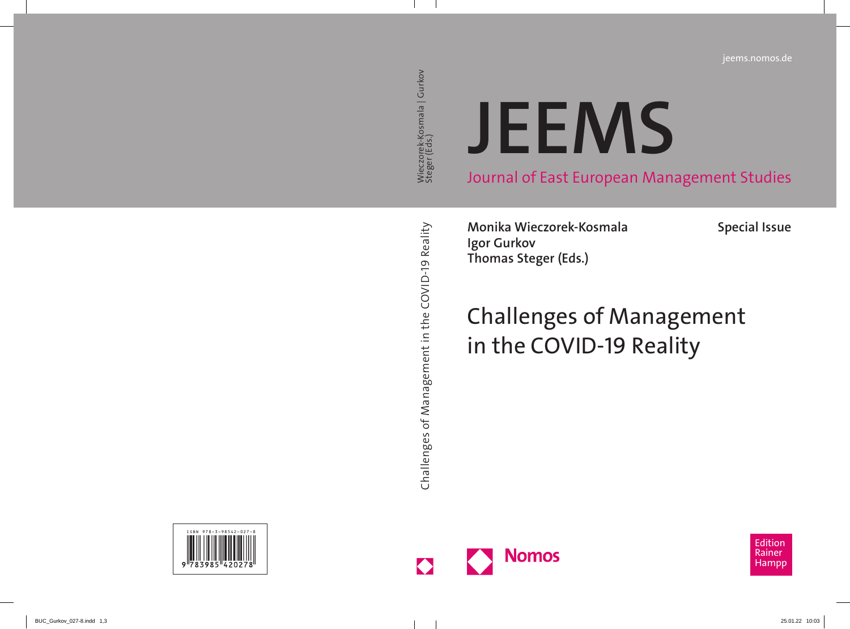### **[JEEMS](https://www.nomos-shop.de/isbn/978-3-98542-027-8)**

Journal of East European Management Studies

**Monika Wieczorek-Kosmala Igor Gurkov Thomas Steger (Eds.)**

**Special Issue**

### Challenges of Management in the COVID-19 Reality



Edition Rainer Hampp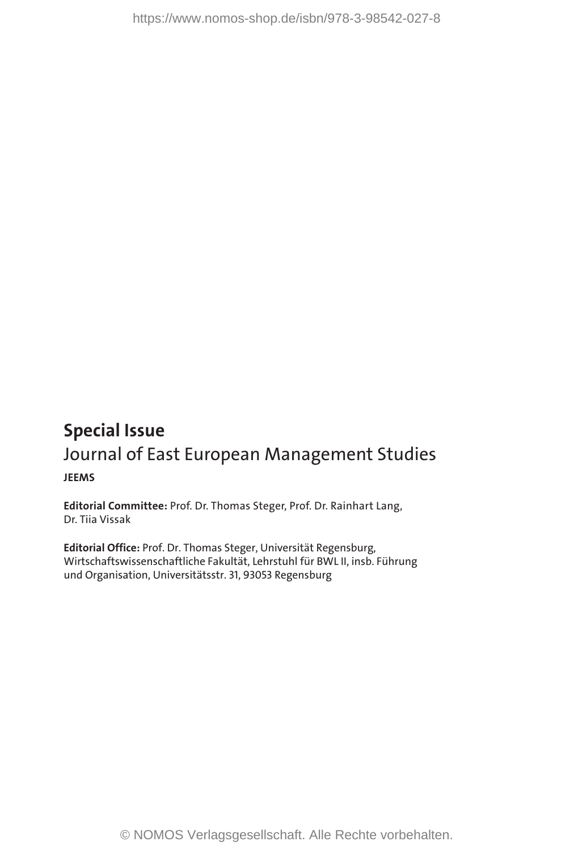## **Special Issue** Journal of East European Management Studies **JEEMS Issue**<br> **Issue**<br> **Of East European Management Studies**<br> **Inter-Prof. Dr. Thomas Steger, Prof. Dr. Rainhart Lang,<br>
Ak<br>
<br>
<b>Iffer**: Prof. Dr. Thomas Steger, Universität Regensburg<br>
<br>
Justices Prof. Dr. Thomas Steger, Univers

**Editorial Committee:** Prof. Dr. Thomas Steger, Prof. Dr. Rainhart Lang, Dr. Tiia Vissak

**Editorial Office:** Prof. Dr. Thomas Steger, Universität Regensburg, Wirtschaftswissenschaftliche Fakultät, Lehrstuhl für BWL II, insb. Führung und Organisation, Universitätsstr. 31, 93053 Regensburg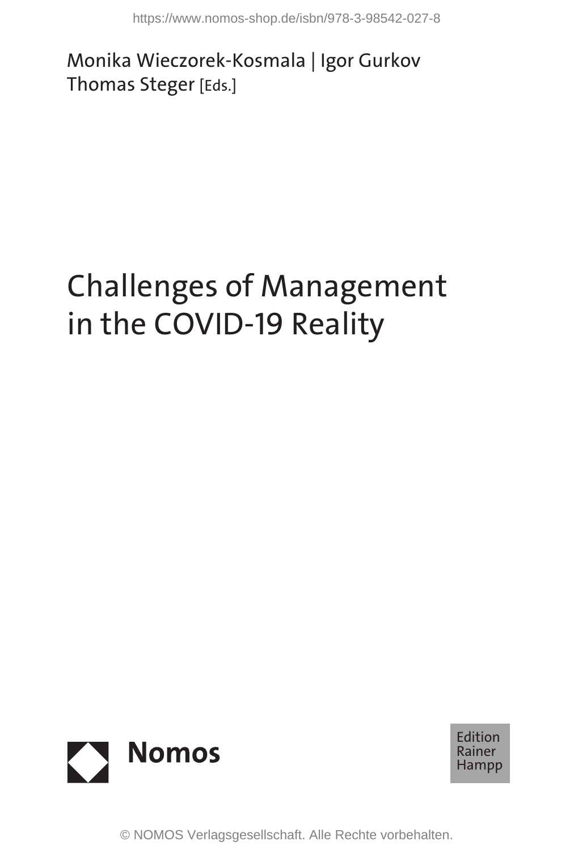Monika Wieczorek-Kosmala | Igor Gurkov Thomas Steger [Eds.]

# Challenges of Management in the COVID-19 Reality https://www.nomos-shop.de/isbn/978-3-98542-027-8<br>a Wieczorek-Kosmala | Igor Gurkov<br>as Steger [Eds.]<br>Ne COVID-19 Reality<br>Nomos<br>© NOMOS Verlagsgesellschaft. Alle Rechte vorbehalten.



Edition Rainer Hampp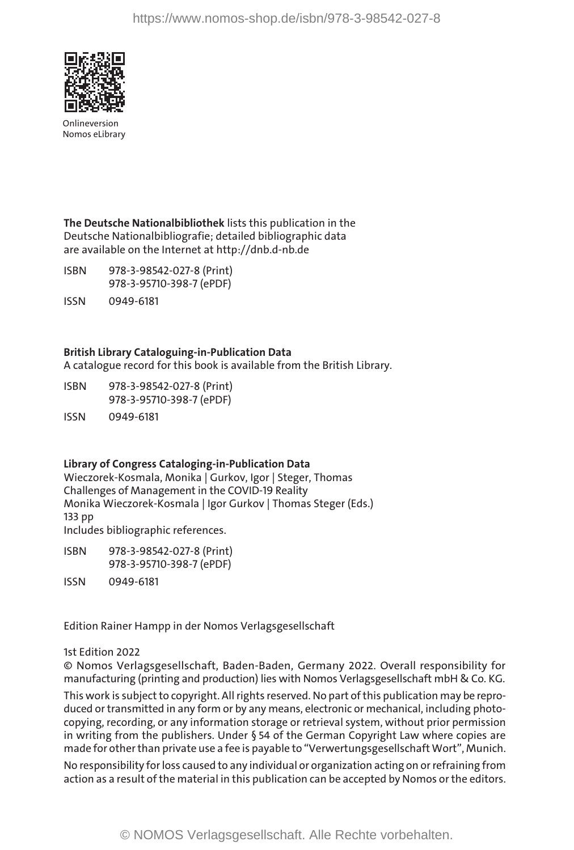

Onlineversion Nomos eLibrary

**The Deutsche Nationalbibliothek** lists this publication in the Deutsche Nationalbibliografie; detailed bibliographic data are available on the Internet at http://dnb.d-nb.de

- ISBN 978-3-98542-027-8 (Print) 978-3-95710-398-7 (ePDF)
- ISSN 0949-6181

### **British Library Cataloguing-in-Publication Data**

A catalogue record for this book is available from the British Library.

- ISBN 978-3-98542-027-8 (Print) 978-3-95710-398-7 (ePDF)
- ISSN 0949-6181

### **Library of Congress Cataloging-in-Publication Data**

Wieczorek-Kosmala, Monika | Gurkov, Igor | Steger, Thomas Challenges of Management in the COVID-19 Reality Monika Wieczorek-Kosmala | Igor Gurkov | Thomas Steger (Eds.) 133 pp Includes bibliographic references.

ISBN 978-3-98542-027-8 (Print) 978-3-95710-398-7 (ePDF) ISSN 0949-6181

Edition Rainer Hampp in der Nomos Verlagsgesellschaft

### 1st Edition 2022

© Nomos Verlagsgesellschaft, Baden-Baden, Germany 2022. Overall responsibility for manufacturing (printing and production) lies with Nomos Verlagsgesellschaft mbH & Co. KG.

This work is subject to copyright. All rights reserved. No part of this publication may be reproduced or transmitted in any form or by any means, electronic or mechanical, including photocopying, recording, or any information storage or retrieval system, without prior permission in writing from the publishers. Under § 54 of the German Copyright Law where copies are made for other than private use a fee is payable to "Verwertungsgesellschaft Wort", Munich. https://www.nomos-shop.de/isbn/978-3-98542-027-8<br> **T**<br> **Example 18 (Example 18 (Example 18 (Example 18 (Example 18 (Example 18 (Example 18 (Example 18 (Example 18 (Example 18 (Example 18 (Example 19 (Example 18 (Example 18** 

No responsibility for loss caused to any individual or organization acting on or refraining from action as a result of the material in this publication can be accepted by Nomos or the editors.